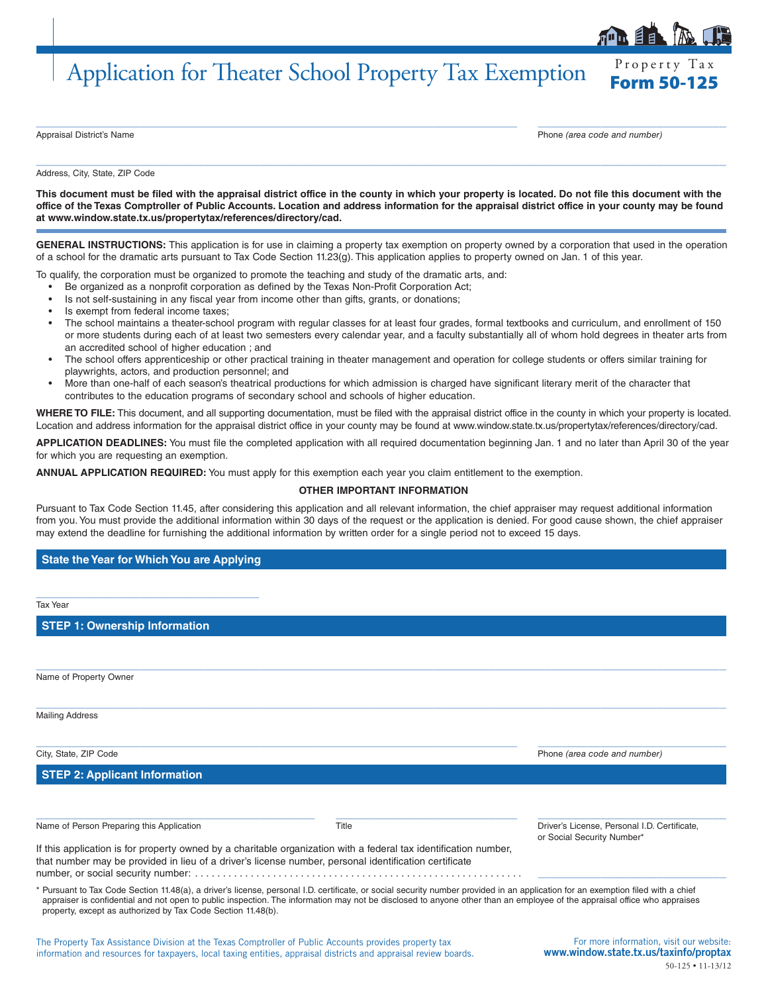## Application for Theater School Property Tax Exemption

Property Tax

Appraisal District's Name **Phone** *(area code and number)* Phone *(area code and number)* 

Address, City, State, ZIP Code

**This document must be filed with the appraisal district office in the county in which your property is located. Do not file this document with the office of the Texas Comptroller of Public Accounts. Location and address information for the appraisal district office in your county may be found at www.window.state.tx.us/propertytax/references/directory/cad.**

 $\_$  ,  $\_$  ,  $\_$  ,  $\_$  ,  $\_$  ,  $\_$  ,  $\_$  ,  $\_$  ,  $\_$  ,  $\_$  ,  $\_$  ,  $\_$  ,  $\_$  ,  $\_$  ,  $\_$  ,  $\_$  ,  $\_$  ,  $\_$  ,  $\_$  ,  $\_$  ,  $\_$  ,  $\_$  ,  $\_$  ,  $\_$  ,  $\_$  ,  $\_$  ,  $\_$  ,  $\_$  ,  $\_$  ,  $\_$  ,  $\_$  ,  $\_$  ,  $\_$  ,  $\_$  ,  $\_$  ,  $\_$  ,  $\_$  ,

 $\_$  , and the set of the set of the set of the set of the set of the set of the set of the set of the set of the set of the set of the set of the set of the set of the set of the set of the set of the set of the set of th

GENERAL INSTRUCTIONS: This application is for use in claiming a property tax exemption on property owned by a corporation that used in the operation of a school for the dramatic arts pursuant to Tax Code Section 11.23(g). This application applies to property owned on Jan. 1 of this year.

To qualify, the corporation must be organized to promote the teaching and study of the dramatic arts, and:

- Be organized as a nonprofit corporation as defined by the Texas Non-Profit Corporation Act;
- Is not self-sustaining in any fiscal year from income other than gifts, grants, or donations;
- Is exempt from federal income taxes;
- The school maintains a theater-school program with regular classes for at least four grades, formal textbooks and curriculum, and enrollment of 150 or more students during each of at least two semesters every calendar year, and a faculty substantially all of whom hold degrees in theater arts from an accredited school of higher education ; and
- The school offers apprenticeship or other practical training in theater management and operation for college students or offers similar training for playwrights, actors, and production personnel; and
- More than one-half of each season's theatrical productions for which admission is charged have significant literary merit of the character that contributes to the education programs of secondary school and schools of higher education.

WHERE TO FILE: This document, and all supporting documentation, must be filed with the appraisal district office in the county in which your property is located. Location and address information for the appraisal district office in your county may be found at www.window.state.tx.us/propertytax/references/directory/cad.

**APPLICATION DEADLINES:** You must file the completed application with all required documentation beginning Jan. 1 and no later than April 30 of the year for which you are requesting an exemption.

**ANNUAL APPLICATION REQUIRED:** You must apply for this exemption each year you claim entitlement to the exemption.

## **OTHER IMPORTANT INFORMATION**

Pursuant to Tax Code Section 11.45, after considering this application and all relevant information, the chief appraiser may request additional information from you. You must provide the additional information within 30 days of the request or the application is denied. For good cause shown, the chief appraiser may extend the deadline for furnishing the additional information by written order for a single period not to exceed 15 days.

## **State the Year for Which You are Applying**

| Tax Year                                                                                                                                                                                                                                                                                                                                                                                                                   |       |                                                                                    |
|----------------------------------------------------------------------------------------------------------------------------------------------------------------------------------------------------------------------------------------------------------------------------------------------------------------------------------------------------------------------------------------------------------------------------|-------|------------------------------------------------------------------------------------|
| <b>STEP 1: Ownership Information</b>                                                                                                                                                                                                                                                                                                                                                                                       |       |                                                                                    |
|                                                                                                                                                                                                                                                                                                                                                                                                                            |       |                                                                                    |
| Name of Property Owner                                                                                                                                                                                                                                                                                                                                                                                                     |       |                                                                                    |
| <b>Mailing Address</b>                                                                                                                                                                                                                                                                                                                                                                                                     |       |                                                                                    |
| City, State, ZIP Code                                                                                                                                                                                                                                                                                                                                                                                                      |       | Phone (area code and number)                                                       |
| <b>STEP 2: Applicant Information</b>                                                                                                                                                                                                                                                                                                                                                                                       |       |                                                                                    |
| Name of Person Preparing this Application                                                                                                                                                                                                                                                                                                                                                                                  | Title | Driver's License, Personal I.D. Certificate,<br>or Social Security Number*         |
| If this application is for property owned by a charitable organization with a federal tax identification number,<br>that number may be provided in lieu of a driver's license number, personal identification certificate                                                                                                                                                                                                  |       |                                                                                    |
| Pursuant to Tax Code Section 11.48(a), a driver's license, personal I.D. certificate, or social security number provided in an application for an exemption filed with a chief<br>appraiser is confidential and not open to public inspection. The information may not be disclosed to anyone other than an employee of the appraisal office who appraises<br>property, except as authorized by Tax Code Section 11.48(b). |       |                                                                                    |
| The Property Tax Assistance Division at the Texas Comptroller of Public Accounts provides property tax<br>information and resources for taxpayers, local taxing entities, appraisal districts and appraisal review boards,                                                                                                                                                                                                 |       | For more information, visit our website:<br>www.window.state.tx.us/taxinfo/proptax |

50-125 • 11-13/12